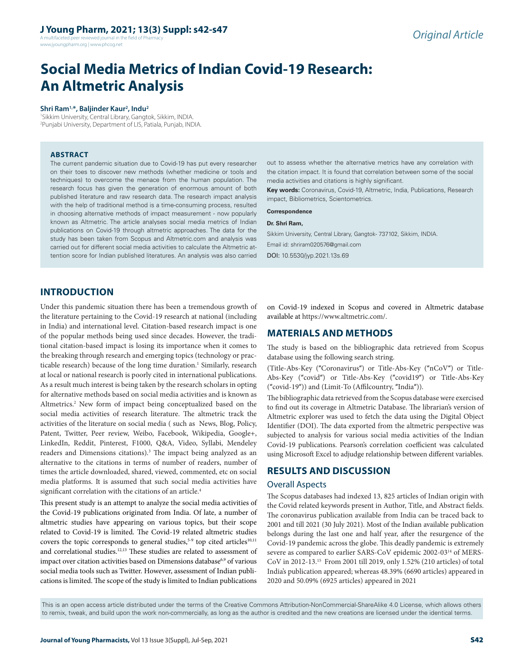A multifaceted peer reviewed journal in the field of Pharmacy www.jyoungpharm.org | www.phcog.net

# **Social Media Metrics of Indian Covid-19 Research: An Altmetric Analysis**

#### **Shri Ram1,\*, Baljinder Kaur2 , Indu2**

1 Sikkim University, Central Library, Gangtok, Sikkim, INDIA. 2 Punjabi University, Department of LIS, Patiala, Punjab, INDIA.

#### **ABSTRACT**

The current pandemic situation due to Covid-19 has put every researcher on their toes to discover new methods (whether medicine or tools and techniques) to overcome the menace from the human population. The research focus has given the generation of enormous amount of both published literature and raw research data. The research impact analysis with the help of traditional method is a time-consuming process, resulted in choosing alternative methods of impact measurement - now popularly known as Altmetric. The article analyses social media metrics of Indian publications on Covid-19 through altmetric approaches. The data for the study has been taken from Scopus and Altmetric.com and analysis was carried out for different social media activities to calculate the Altmetric attention score for Indian published literatures. An analysis was also carried out to assess whether the alternative metrics have any correlation with the citation impact. It is found that correlation between some of the social media activities and citations is highly significant.

**Key words:** Coronavirus, Covid-19, Altmetric, India, Publications, Research impact, Bibliometrics, Scientometrics.

#### **Correspondence**

#### **Dr. Shri Ram,**

Sikkim University, Central Library, Gangtok- 737102, Sikkim, INDIA. Email id: shriram020576@gmail.com DOI: 10.5530/jyp.2021.13s.69

# **INTRODUCTION**

Under this pandemic situation there has been a tremendous growth of the literature pertaining to the Covid-19 research at national (including in India) and international level. Citation-based research impact is one of the popular methods being used since decades. However, the traditional citation-based impact is losing its importance when it comes to the breaking through research and emerging topics (technology or practicable research) because of the long time duration.<sup>1</sup> Similarly, research at local or national research is poorly cited in international publications. As a result much interest is being taken by the research scholars in opting for alternative methods based on social media activities and is known as Altmetrics.<sup>2</sup> New form of impact being conceptualized based on the social media activities of research literature. The altmetric track the activities of the literature on social media ( such as News, Blog, Policy, Patent, Twitter, Peer review, Weibo, Facebook, Wikipedia, Google+, LinkedIn, Reddit, Pinterest, F1000, Q&A, Video, Syllabi, Mendeley readers and Dimensions citations).<sup>3</sup> The impact being analyzed as an alternative to the citations in terms of number of readers, number of times the article downloaded, shared, viewed, commented, etc on social media platforms. It is assumed that such social media activities have significant correlation with the citations of an article.<sup>4</sup>

This present study is an attempt to analyze the social media activities of the Covid-19 publications originated from India. Of late, a number of altmetric studies have appearing on various topics, but their scope related to Covid-19 is limited. The Covid-19 related altmetric studies covers the topic corresponds to general studies,<sup>5-9</sup> top cited articles<sup>10,11</sup> and correlational studies.12,13 These studies are related to assessment of impact over citation activities based on Dimensions database<sup>6,9</sup> of various social media tools such as Twitter. However, assessment of Indian publications is limited. The scope of the study is limited to Indian publications

on Covid-19 indexed in Scopus and covered in Altmetric database available at https://www.altmetric.com/.

# **MATERIALS AND METHODS**

The study is based on the bibliographic data retrieved from Scopus database using the following search string.

(Title-Abs-Key ("Coronavirus") or Title-Abs-Key ("nCoV") or Title-Abs-Key ("covid") or Title-Abs-Key ("covid19") or Title-Abs-Key ("covid-19")) and (Limit-To (Affilcountry, "India")).

The bibliographic data retrieved from the Scopus database were exercised to find out its coverage in Altmetric Database. The librarian's version of Altmetric explorer was used to fetch the data using the Digital Object Identifier (DOI). The data exported from the altmetric perspective was subjected to analysis for various social media activities of the Indian Covid-19 publications. Pearson's correlation coefficient was calculated using Microsoft Excel to adjudge relationship between different variables.

# **RESULTS AND DISCUSSION**

## Overall Aspects

The Scopus databases had indexed 13, 825 articles of Indian origin with the Covid related keywords present in Author, Title, and Abstract fields. The coronavirus publication available from India can be traced back to 2001 and till 2021 (30 July 2021). Most of the Indian available publication belongs during the last one and half year, after the resurgence of the Covid-19 pandemic across the globe. This deadly pandemic is extremely severe as compared to earlier SARS-CoV epidemic 2002-0314 of MERS-CoV in 2012-13.15 From 2001 till 2019, only 1.52% (210 articles) of total India's publication appeared; whereas 48.39% (6690 articles) appeared in 2020 and 50.09% (6925 articles) appeared in 2021

This is an open access article distributed under the terms of the Creative Commons Attribution-NonCommercial-ShareAlike 4.0 License, which allows others to remix, tweak, and build upon the work non-commercially, as long as the author is credited and the new creations are licensed under the identical terms.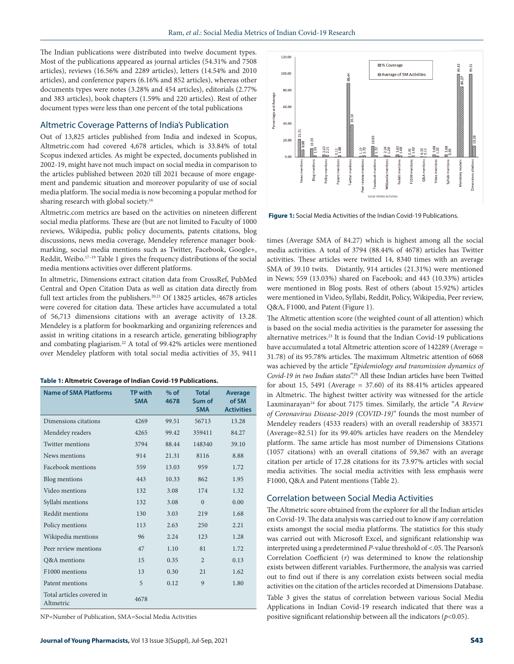The Indian publications were distributed into twelve document types. Most of the publications appeared as journal articles (54.31% and 7508 articles), reviews (16.56% and 2289 articles), letters (14.54% and 2010 articles), and conference papers (6.16% and 852 articles), whereas other documents types were notes (3.28% and 454 articles), editorials (2.77% and 383 articles), book chapters (1.59% and 220 articles). Rest of other document types were less than one percent of the total publications

#### Altmetric Coverage Patterns of India's Publication

Out of 13,825 articles published from India and indexed in Scopus, Altmetric.com had covered 4,678 articles, which is 33.84% of total Scopus indexed articles. As might be expected, documents published in 2002-19, might have not much impact on social media in comparison to the articles published between 2020 till 2021 because of more engagement and pandemic situation and moreover popularity of use of social media platform. The social media is now becoming a popular method for sharing research with global society.<sup>16</sup>

Altmetric.com metrics are based on the activities on nineteen different social media platforms. These are (but are not limited to Faculty of 1000 reviews, Wikipedia, public policy documents, patents citations, blog discussions, news media coverage, Mendeley reference manager bookmarking, social media mentions such as Twitter, Facebook, Google+, Reddit, Weibo.<sup>17-19</sup> Table 1 gives the frequency distributions of the social media mentions activities over different platforms.

In altmetric, Dimensions extract citation data from CrossRef, PubMed Central and Open Citation Data as well as citation data directly from full text articles from the publishers.<sup>20,21</sup> Of 13825 articles, 4678 articles were covered for citation data. These articles have accumulated a total of 56,713 dimensions citations with an average activity of 13.28. Mendeley is a platform for bookmarking and organizing references and assist in writing citations in a research article, generating bibliography and combating plagiarism.22 A total of 99.42% articles were mentioned over Mendeley platform with total social media activities of 35, 9411

|  |  |  |  |  | Table 1: Altmetric Coverage of Indian Covid-19 Publications. |
|--|--|--|--|--|--------------------------------------------------------------|
|--|--|--|--|--|--------------------------------------------------------------|

| <b>Name of SMA Platforms</b>           | <b>TP with</b><br><b>SMA</b> | $%$ of<br>4678 | <b>Total</b><br>Sum of<br><b>SMA</b> | <b>Average</b><br>of SM<br><b>Activities</b> |
|----------------------------------------|------------------------------|----------------|--------------------------------------|----------------------------------------------|
| Dimensions citations                   | 4269                         | 99.51          | 56713                                | 13.28                                        |
| Mendeley readers                       | 4265                         | 99.42          | 359411                               | 84.27                                        |
| <b>Twitter mentions</b>                | 3794                         | 88.44          | 148340                               | 39.10                                        |
| News mentions                          | 914                          | 21.31          | 8116                                 | 8.88                                         |
| Facebook mentions                      | 559                          | 13.03          | 959                                  | 1.72                                         |
| Blog mentions                          | 443                          | 10.33          | 862                                  | 1.95                                         |
| Video mentions                         | 132                          | 3.08           | 174                                  | 1.32                                         |
| Syllabi mentions                       | 132                          | 3.08           | $\theta$                             | 0.00                                         |
| Reddit mentions                        | 130                          | 3.03           | 219                                  | 1.68                                         |
| Policy mentions                        | 113                          | 2.63           | 250                                  | 2.21                                         |
| Wikipedia mentions                     | 96                           | 2.24           | 123                                  | 1.28                                         |
| Peer review mentions                   | 47                           | 1.10           | 81                                   | 1.72                                         |
| <b>O&amp;A</b> mentions                | 15                           | 0.35           | $\mathfrak{D}$                       | 0.13                                         |
| F1000 mentions                         | 13                           | 0.30           | 21                                   | 1.62                                         |
| Patent mentions                        | 5                            | 0.12           | 9                                    | 1.80                                         |
| Total articles covered in<br>Altmetric | 4678                         |                |                                      |                                              |

NP=Number of Publication, SMA=Social Media Activities



**Figure 1:** Social Media Activities of the Indian Covid-19 Publications.

times (Average SMA of 84.27) which is highest among all the social media activities. A total of 3794 (88.44% of 4678) articles has Twitter activities. These articles were twitted 14, 8340 times with an average SMA of 39.10 twits. Distantly, 914 articles (21.31%) were mentioned in News; 559 (13.03%) shared on Facebook; and 443 (10.33%) articles were mentioned in Blog posts. Rest of others (about 15.92%) articles were mentioned in Video, Syllabi, Reddit, Policy, Wikipedia, Peer review, Q&A, F1000, and Patent (Figure 1).

The Altmetic attention score (the weighted count of all attention) which is based on the social media activities is the parameter for assessing the alternative metrices.<sup>23</sup> It is found that the Indian Covid-19 publications have accumulated a total Altmetric attention score of 142289 (Average = 31.78) of its 95.78% articles. The maximum Altmetric attention of 6068 was achieved by the article "*Epidemiology and transmission dynamics of Covid-19 in two Indian states*".24 All these Indian articles have been Twitted for about 15, 5491 (Average = 37.60) of its 88.41% articles appeared in Altmetric. The highest twitter activity was witnessed for the article Laxminarayan<sup>24</sup> for about 7175 times. Similarly, the article "A Review *of Coronavirus Disease-2019 (COVID-19)*" founds the most number of Mendeley readers (4533 readers) with an overall readership of 383571 (Average=82.51) for its 99.40% articles have readers on the Mendeley platform. The same article has most number of Dimensions Citations (1057 citations) with an overall citations of 59,367 with an average citation per article of 17.28 citations for its 73.97% articles with social media activities. The social media activities with less emphasis were F1000, Q&A and Patent mentions (Table 2).

## Correlation between Social Media Activities

The Altmetric score obtained from the explorer for all the Indian articles on Covid-19. The data analysis was carried out to know if any correlation exists amongst the social media platforms. The statistics for this study was carried out with Microsoft Excel, and significant relationship was interpreted using a predetermined *P*-value threshold of <.05. The Pearson's Correlation Coefficient (*r*) was determined to know the relationship exists between different variables. Furthermore, the analysis was carried out to find out if there is any correlation exists between social media activities on the citation of the articles recorded at Dimensions Database. Table 3 gives the status of correlation between various Social Media Applications in Indian Covid-19 research indicated that there was a positive significant relationship between all the indicators (*p*<0.05).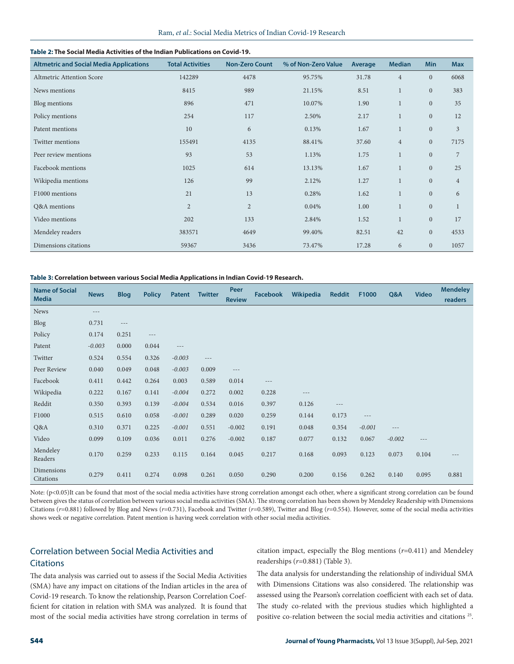## **Table 2: The Social Media Activities of the Indian Publications on Covid-19.**

| <b>Altmetric and Social Media Applications</b> | <b>Total Activities</b> | <b>Non-Zero Count</b> | % of Non-Zero Value | Average | <b>Median</b>  | <b>Min</b>     | <b>Max</b>     |
|------------------------------------------------|-------------------------|-----------------------|---------------------|---------|----------------|----------------|----------------|
| <b>Altmetric Attention Score</b>               | 142289                  | 4478                  | 95.75%              | 31.78   | $\overline{4}$ | $\overline{0}$ | 6068           |
| News mentions                                  | 8415                    | 989                   | 21.15%              | 8.51    | $\mathbf{1}$   | $\mathbf{0}$   | 383            |
| Blog mentions                                  | 896                     | 471                   | 10.07%              | 1.90    | $\mathbf{1}$   | $\mathbf{0}$   | 35             |
| Policy mentions                                | 254                     | 117                   | 2.50%               | 2.17    | $\mathbf{1}$   | $\mathbf{0}$   | 12             |
| Patent mentions                                | 10                      | 6                     | 0.13%               | 1.67    | $\mathbf{1}$   | $\mathbf{0}$   | $\overline{3}$ |
| Twitter mentions                               | 155491                  | 4135                  | 88.41%              | 37.60   | $\overline{4}$ | $\mathbf{0}$   | 7175           |
| Peer review mentions                           | 93                      | 53                    | 1.13%               | 1.75    | $\mathbf{1}$   | $\mathbf{0}$   | 7              |
| Facebook mentions                              | 1025                    | 614                   | 13.13%              | 1.67    | $\mathbf{1}$   | $\overline{0}$ | 25             |
| Wikipedia mentions                             | 126                     | 99                    | 2.12%               | 1.27    | $\mathbf{1}$   | $\mathbf{0}$   | $\overline{4}$ |
| F1000 mentions                                 | 21                      | 13                    | 0.28%               | 1.62    | $\mathbf{1}$   | $\mathbf{0}$   | 6              |
| Q&A mentions                                   | $\overline{2}$          | $\mathbf{2}$          | 0.04%               | 1.00    | $\mathbf{1}$   | $\mathbf{0}$   | $\mathbf{1}$   |
| Video mentions                                 | 202                     | 133                   | 2.84%               | 1.52    | $\mathbf{1}$   | $\mathbf{0}$   | 17             |
| Mendeley readers                               | 383571                  | 4649                  | 99.40%              | 82.51   | 42             | $\mathbf{0}$   | 4533           |
| Dimensions citations                           | 59367                   | 3436                  | 73.47%              | 17.28   | 6              | $\mathbf{0}$   | 1057           |

#### **Table 3: Correlation between various Social Media Applications in Indian Covid-19 Research.**

| <b>Name of Social</b><br><b>Media</b> | <b>News</b> | <b>Blog</b> | <b>Policy</b>       | <b>Patent</b> | <b>Twitter</b> | <b>Peer</b><br><b>Review</b> | <b>Facebook</b> | Wikipedia | <b>Reddit</b> | F1000    | Q&A      | <b>Video</b> | <b>Mendeley</b><br>readers |
|---------------------------------------|-------------|-------------|---------------------|---------------|----------------|------------------------------|-----------------|-----------|---------------|----------|----------|--------------|----------------------------|
| <b>News</b>                           | $- - -$     |             |                     |               |                |                              |                 |           |               |          |          |              |                            |
| Blog                                  | 0.731       | $---$       |                     |               |                |                              |                 |           |               |          |          |              |                            |
| Policy                                | 0.174       | 0.251       | $\qquad \qquad - -$ |               |                |                              |                 |           |               |          |          |              |                            |
| Patent                                | $-0.003$    | 0.000       | 0.044               | $---$         |                |                              |                 |           |               |          |          |              |                            |
| Twitter                               | 0.524       | 0.554       | 0.326               | $-0.003$      | $\cdots$       |                              |                 |           |               |          |          |              |                            |
| Peer Review                           | 0.040       | 0.049       | 0.048               | $-0.003$      | 0.009          | $---$                        |                 |           |               |          |          |              |                            |
| Facebook                              | 0.411       | 0.442       | 0.264               | 0.003         | 0.589          | 0.014                        | $\cdots$        |           |               |          |          |              |                            |
| Wikipedia                             | 0.222       | 0.167       | 0.141               | $-0.004$      | 0.272          | 0.002                        | 0.228           | $---$     |               |          |          |              |                            |
| Reddit                                | 0.350       | 0.393       | 0.139               | $-0.004$      | 0.534          | 0.016                        | 0.397           | 0.126     | $---$         |          |          |              |                            |
| F1000                                 | 0.515       | 0.610       | 0.058               | $-0.001$      | 0.289          | 0.020                        | 0.259           | 0.144     | 0.173         | $---$    |          |              |                            |
| Q&A                                   | 0.310       | 0.371       | 0.225               | $-0.001$      | 0.551          | $-0.002$                     | 0.191           | 0.048     | 0.354         | $-0.001$ | $---$    |              |                            |
| Video                                 | 0.099       | 0.109       | 0.036               | 0.011         | 0.276          | $-0.002$                     | 0.187           | 0.077     | 0.132         | 0.067    | $-0.002$ | $- - -$      |                            |
| Mendeley<br>Readers                   | 0.170       | 0.259       | 0.233               | 0.115         | 0.164          | 0.045                        | 0.217           | 0.168     | 0.093         | 0.123    | 0.073    | 0.104        | $- - -$                    |
| Dimensions<br>Citations               | 0.279       | 0.411       | 0.274               | 0.098         | 0.261          | 0.050                        | 0.290           | 0.200     | 0.156         | 0.262    | 0.140    | 0.095        | 0.881                      |

Note: (p<0.05)It can be found that most of the social media activities have strong correlation amongst each other, where a significant strong correlation can be found between gives the status of correlation between various social media activities (SMA). The strong correlation has been shown by Mendeley Readership with Dimensions Citations (*r*=0.881) followed by Blog and News (*r*=0.731), Facebook and Twitter (*r*=0.589), Twitter and Blog (*r*=0.554). However, some of the social media activities shows week or negative correlation. Patent mention is having week correlation with other social media activities.

# Correlation between Social Media Activities and **Citations**

citation impact, especially the Blog mentions (*r*=0.411) and Mendeley readerships (*r*=0.881) (Table 3).

The data analysis was carried out to assess if the Social Media Activities (SMA) have any impact on citations of the Indian articles in the area of Covid-19 research. To know the relationship, Pearson Correlation Coefficient for citation in relation with SMA was analyzed. It is found that most of the social media activities have strong correlation in terms of The data analysis for understanding the relationship of individual SMA with Dimensions Citations was also considered. The relationship was assessed using the Pearson's correlation coefficient with each set of data. The study co-related with the previous studies which highlighted a positive co-relation between the social media activities and citations 25.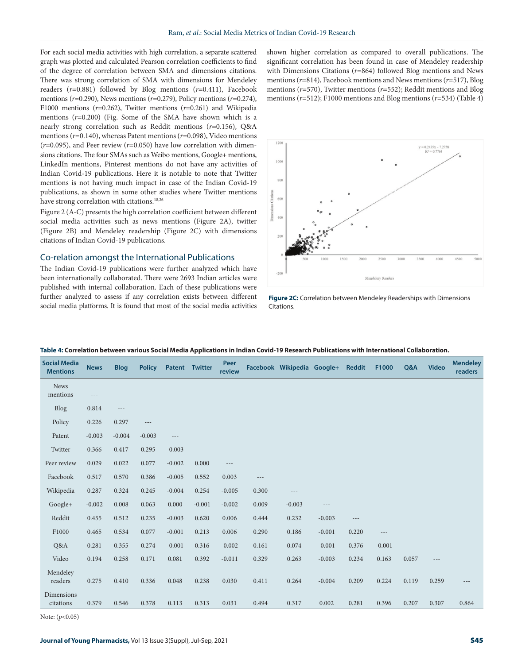For each social media activities with high correlation, a separate scattered graph was plotted and calculated Pearson correlation coefficients to find of the degree of correlation between SMA and dimensions citations. There was strong correlation of SMA with dimensions for Mendeley readers (*r*=0.881) followed by Blog mentions (*r*=0.411), Facebook mentions (*r*=0.290), News mentions (*r*=0.279), Policy mentions (*r*=0.274), F1000 mentions (*r*=0.262), Twitter mentions (*r*=0.261) and Wikipedia mentions (*r*=0.200) (Fig. Some of the SMA have shown which is a nearly strong correlation such as Reddit mentions (*r*=0.156), Q&A mentions (*r*=0.140), whereas Patent mentions (*r*=0.098), Video mentions (*r*=0.095), and Peer review (*r*=0.050) have low correlation with dimensions citations. The four SMAs such as Weibo mentions, Google+ mentions, LinkedIn mentions, Pinterest mentions do not have any activities of Indian Covid-19 publications. Here it is notable to note that Twitter mentions is not having much impact in case of the Indian Covid-19 publications, as shown in some other studies where Twitter mentions have strong correlation with citations.<sup>18,26</sup>

Figure 2 (A-C) presents the high correlation coefficient between different social media activities such as news mentions (Figure 2A), twitter (Figure 2B) and Mendeley readership (Figure 2C) with dimensions citations of Indian Covid-19 publications.

## Co-relation amongst the International Publications

The Indian Covid-19 publications were further analyzed which have been internationally collaborated. There were 2693 Indian articles were published with internal collaboration. Each of these publications were further analyzed to assess if any correlation exists between different social media platforms. It is found that most of the social media activities

shown higher correlation as compared to overall publications. The significant correlation has been found in case of Mendeley readership with Dimensions Citations (*r*=864) followed Blog mentions and News mentions (*r*=814), Facebook mentions and News mentions (*r*=517), Blog mentions (*r*=570), Twitter mentions (*r*=552); Reddit mentions and Blog mentions (*r*=512); F1000 mentions and Blog mentions (*r*=534) (Table 4)



**Figure 2C:** Correlation between Mendeley Readerships with Dimensions Citations.

| <b>Social Media</b><br><b>Mentions</b> | <b>News</b> | <b>Blog</b> | <b>Policy</b> |          | Patent Twitter | Peer<br>review |          | Facebook Wikipedia Google+ |          | <b>Reddit</b> | F1000    | Q&A   | <b>Video</b> | <b>Mendeley</b><br>readers |
|----------------------------------------|-------------|-------------|---------------|----------|----------------|----------------|----------|----------------------------|----------|---------------|----------|-------|--------------|----------------------------|
| <b>News</b><br>mentions                | $---$       |             |               |          |                |                |          |                            |          |               |          |       |              |                            |
| <b>Blog</b>                            | 0.814       | $---$       |               |          |                |                |          |                            |          |               |          |       |              |                            |
| Policy                                 | 0.226       | 0.297       | $---$         |          |                |                |          |                            |          |               |          |       |              |                            |
| Patent                                 | $-0.003$    | $-0.004$    | $-0.003$      | $---$    |                |                |          |                            |          |               |          |       |              |                            |
| Twitter                                | 0.366       | 0.417       | 0.295         | $-0.003$ | $---$          |                |          |                            |          |               |          |       |              |                            |
| Peer review                            | 0.029       | 0.022       | 0.077         | $-0.002$ | 0.000          | $\cdots$       |          |                            |          |               |          |       |              |                            |
| Facebook                               | 0.517       | 0.570       | 0.386         | $-0.005$ | 0.552          | 0.003          | $\cdots$ |                            |          |               |          |       |              |                            |
| Wikipedia                              | 0.287       | 0.324       | 0.245         | $-0.004$ | 0.254          | $-0.005$       | 0.300    | $---$                      |          |               |          |       |              |                            |
| Google+                                | $-0.002$    | 0.008       | 0.063         | 0.000    | $-0.001$       | $-0.002$       | 0.009    | $-0.003$                   | $---$    |               |          |       |              |                            |
| Reddit                                 | 0.455       | 0.512       | 0.235         | $-0.003$ | 0.620          | 0.006          | 0.444    | 0.232                      | $-0.003$ | $---$         |          |       |              |                            |
| F1000                                  | 0.465       | 0.534       | 0.077         | $-0.001$ | 0.213          | 0.006          | 0.290    | 0.186                      | $-0.001$ | 0.220         | $---$    |       |              |                            |
| Q&A                                    | 0.281       | 0.355       | 0.274         | $-0.001$ | 0.316          | $-0.002$       | 0.161    | 0.074                      | $-0.001$ | 0.376         | $-0.001$ | $---$ |              |                            |
| Video                                  | 0.194       | 0.258       | 0.171         | 0.081    | 0.392          | $-0.011$       | 0.329    | 0.263                      | $-0.003$ | 0.234         | 0.163    | 0.057 | $---$        |                            |
| Mendeley<br>readers                    | 0.275       | 0.410       | 0.336         | 0.048    | 0.238          | 0.030          | 0.411    | 0.264                      | $-0.004$ | 0.209         | 0.224    | 0.119 | 0.259        | ---                        |
| Dimensions<br>citations                | 0.379       | 0.546       | 0.378         | 0.113    | 0.313          | 0.031          | 0.494    | 0.317                      | 0.002    | 0.281         | 0.396    | 0.207 | 0.307        | 0.864                      |

#### **Table 4: Correlation between various Social Media Applications in Indian Covid-19 Research Publications with International Collaboration.**

Note: (*p*<0.05)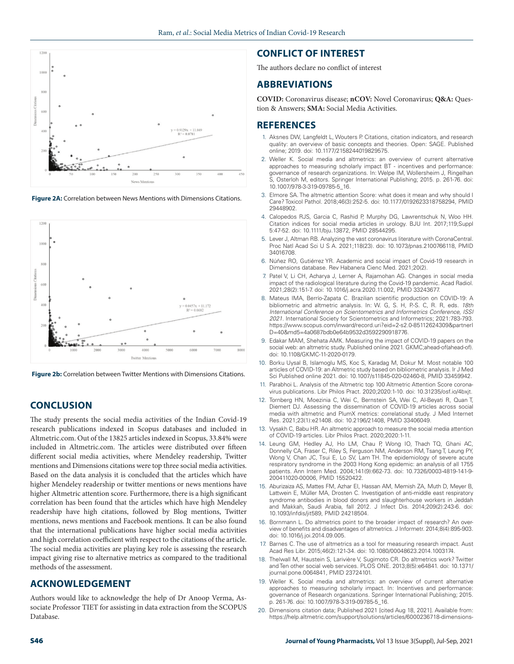

**Figure 2A:** Correlation between News Mentions with Dimensions Citations.



**Figure 2b:** Correlation between Twitter Mentions with Dimensions Citations.

# **CONCLUSION**

The study presents the social media activities of the Indian Covid-19 research publications indexed in Scopus databases and included in Altmetric.com. Out of the 13825 articles indexed in Scopus, 33.84% were included in Altmetric.com. The articles were distributed over fifteen different social media activities, where Mendeley readership, Twitter mentions and Dimensions citations were top three social media activities. Based on the data analysis it is concluded that the articles which have higher Mendeley readership or twitter mentions or news mentions have higher Altmetric attention score. Furthermore, there is a high significant correlation has been found that the articles which have high Mendeley readership have high citations, followed by Blog mentions, Twitter mentions, news mentions and Facebook mentions. It can be also found that the international publications have higher social media activities and high correlation coefficient with respect to the citations of the article. The social media activities are playing key role is assessing the research impact giving rise to alternative metrics as compared to the traditional methods of the assessment.

## **ACKNOWLEDGEMENT**

Authors would like to acknowledge the help of Dr Anoop Verma, Associate Professor TIET for assisting in data extraction from the SCOPUS Database.

# **CONFLICT OF INTEREST**

The authors declare no conflict of interest

## **ABBREVIATIONS**

**COVID:** Coronavirus disease; **nCOV:** Novel Coronavirus; **Q&A:** Question & Answers; **SMA:** Social Media Activities.

## **REFERENCES**

- 1. Aksnes DW, Langfeldt L, Wouters P. Citations, citation indicators, and research quality: an overview of basic concepts and theories. Open: SAGE. Published online; 2019. doi: 10.1177/2158244019829575.
- 2. Weller K. Social media and altmetrics: an overview of current alternative approaches to measuring scholarly impact BT - incentives and performance: governance of research organizations. In: Welpe IM, Wollersheim J, Ringelhan S, Osterloh M, editors. Springer International Publishing; 2015. p. 261-76. doi: 10.1007/978-3-319-09785-5\_16.
- 3. Elmore SA. The altmetric attention Score: what does it mean and why should I Care? Toxicol Pathol. 2018;46(3):252-5. doi: 10.1177/0192623318758294, PMID 29448902.
- 4. Calopedos RJS, Garcia C, Rashid P, Murphy DG, Lawrentschuk N, Woo HH. Citation indices for social media articles in urology. BJU Int. 2017;119;Suppl 5:47-52. doi: 10.1111/bju.13872, PMID 28544295.
- 5. Lever J, Altman RB. Analyzing the vast coronavirus literature with CoronaCentral. Proc Natl Acad Sci U S A. 2021;118(23). doi: 10.1073/pnas.2100766118, PMID 34016708.
- 6. Núñez RO, Gutiérrez YR. Academic and social impact of Covid-19 research in Dimensions database. Rev Habanera Cienc Med. 2021;20(2).
- 7. Patel V, Li CH, Acharya J, Lerner A, Rajamohan AG. Changes in social media impact of the radiological literature during the Covid-19 pandemic. Acad Radiol. 2021;28(2):151-7. doi: 10.1016/j.acra.2020.11.002, PMID 33243677.
- 8. Mateus IMA, Berrío-Zapata C. Brazilian scientific production on COVID-19: A bibliometric and altmetric analysis. In: W. G, S. H, P.-S. C, R. R, eds. *18th International Conference on Scientometrics and Informetrics Conference, ISSI 2021*. International Society for Scientometrics and Informetrics; 2021:783-793. https://www.scopus.com/inward/record.uri?eid=2-s2.0-85112624309&partnerI D=40&md5=4a0687bdb0e64b9532d3592290918776.
- 9. Edakar MAM, Shehata AMK. Measuring the impact of COVID-19 papers on the social web: an altmetric study. Published online 2021. GKMC;ahead-of(ahead-of). doi: 10.1108/GKMC-11-2020-0179.
- 10. Borku Uysal B, Islamoglu MS, Koc S, Karadag M, Dokur M. Most notable 100 articles of COVID-19: an Altmetric study based on bibliometric analysis. Ir J Med Sci Published online 2021. doi: 10.1007/s11845-020-02460-8, PMID 33459942.
- 11. Parabhoi L. Analysis of the Altmetric top 100 Altmetric Attention Score coronavirus publications. Libr Philos Pract. 2020;2020:1-10. doi: 10.31235/osf.io/4bxjt.
- 12. Tornberg HN, Moezinia C, Wei C, Bernstein SA, Wei C, Al-Beyati R, Quan T, Diemert DJ. Assessing the dissemination of COVID-19 articles across social media with altmetric and PlumX metrics: correlational study. J Med Internet Res. 2021;23(1):e21408. doi: 10.2196/21408, PMID 33406049.
- 13. Vysakh C, Babu HR. An altmetric approach to measure the social media attention of COVID-19 articles. Libr Philos Pract. 2020;2020:1-11.
- 14. Leung GM, Hedley AJ, Ho LM, Chau P, Wong IO, Thach TQ, Ghani AC, Donnelly CA, Fraser C, Riley S, Ferguson NM, Anderson RM, Tsang T, Leung PY, Wong V, Chan JC, Tsui E, Lo SV, Lam TH. The epidemiology of severe acute respiratory syndrome in the 2003 Hong Kong epidemic: an analysis of all 1755 patients. Ann Intern Med. 2004;141(9):662-73. doi: 10.7326/0003-4819-141-9- 200411020-00006, PMID 15520422.
- 15. Aburizaiza AS, Mattes FM, Azhar EI, Hassan AM, Memish ZA, Muth D, Meyer B, Lattwein E, Müller MA, Drosten C. Investigation of anti-middle east respiratory syndrome antibodies in blood donors and slaughterhouse workers in Jeddah and Makkah, Saudi Arabia, fall 2012. J Infect Dis. 2014;209(2):243-6. doi: 10.1093/infdis/jit589, PMID 24218504.
- 16. Bornmann L. Do altmetrics point to the broader impact of research? An overview of benefits and disadvantages of altmetrics. J Informetr. 2014;8(4):895-903. doi: 10.1016/j.joi.2014.09.005.
- 17. Barnes C. The use of altmetrics as a tool for measuring research impact. Aust Acad Res Libr. 2015;46(2):121-34. doi: 10.1080/00048623.2014.1003174.
- 18. Thelwall M, Haustein S, Larivière V, Sugimoto CR. Do altmetrics work? Twitter and Ten other social web services. PLOS ONE. 2013;8(5):e64841. doi: 10.1371/ journal.pone.0064841, PMID 23724101.
- 19. Weller K. Social media and altmetrics: an overview of current alternative approaches to measuring scholarly impact. In: Incentives and performance governance of Research organizations. Springer International Publishing; 2015. p. 261-76. doi: 10.1007/978-3-319-09785-5\_16.
- 20. Dimensions citation data; Published 2021 [cited Aug 18, 2021]. Available from: https://help.altmetric.com/support/solutions/articles/6000236718-dimensions-